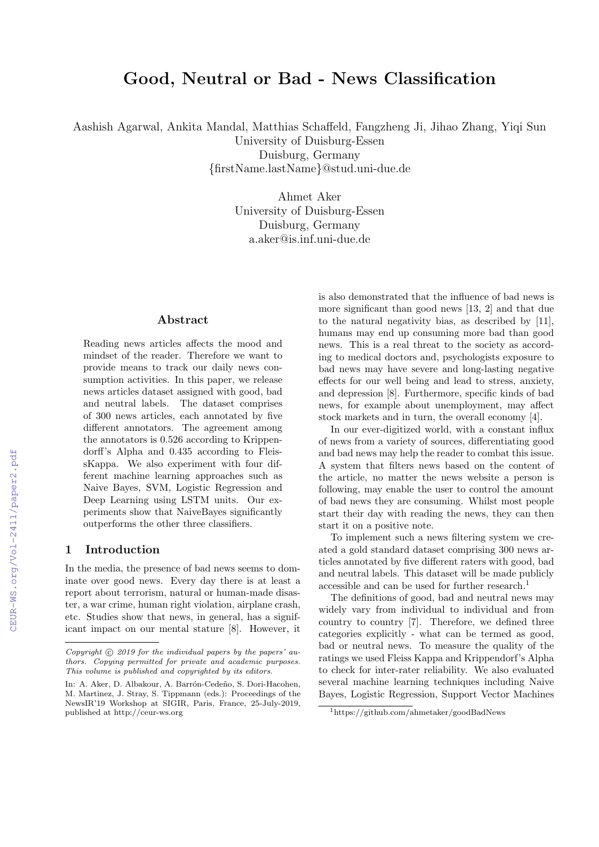# Good, Neutral or Bad - News Classification

Aashish Agarwal, Ankita Mandal, Matthias Schaffeld, Fangzheng Ji, Jihao Zhang, Yiqi Sun

University of Duisburg-Essen Duisburg, Germany {firstName.lastName}@stud.uni-due.de

> Ahmet Aker University of Duisburg-Essen Duisburg, Germany a.aker@is.inf.uni-due.de

#### Abstract

Reading news articles affects the mood and mindset of the reader. Therefore we want to provide means to track our daily news consumption activities. In this paper, we release news articles dataset assigned with good, bad and neutral labels. The dataset comprises of 300 news articles, each annotated by five different annotators. The agreement among the annotators is 0.526 according to Krippendorff's Alpha and 0.435 according to FleissKappa. We also experiment with four different machine learning approaches such as Naive Bayes, SVM, Logistic Regression and Deep Learning using LSTM units. Our experiments show that NaiveBayes significantly outperforms the other three classifiers.

#### 1 Introduction

In the media, the presence of bad news seems to dominate over good news. Every day there is at least a report about terrorism, natural or human-made disaster, a war crime, human right violation, airplane crash, etc. Studies show that news, in general, has a significant impact on our mental stature [8]. However, it

is also demonstrated that the influence of bad news is more significant than good news [13, 2] and that due to the natural negativity bias, as described by [11], humans may end up consuming more bad than good news. This is a real threat to the society as according to medical doctors and, psychologists exposure to bad news may have severe and long-lasting negative effects for our well being and lead to stress, anxiety, and depression [8]. Furthermore, specific kinds of bad news, for example about unemployment, may affect stock markets and in turn, the overall economy [4].

In our ever-digitized world, with a constant influx of news from a variety of sources, differentiating good and bad news may help the reader to combat this issue. A system that filters news based on the content of the article, no matter the news website a person is following, may enable the user to control the amount of bad news they are consuming. Whilst most people start their day with reading the news, they can then start it on a positive note.

To implement such a news filtering system we created a gold standard dataset comprising 300 news articles annotated by five different raters with good, bad and neutral labels. This dataset will be made publicly accessible and can be used for further research.<sup>1</sup>

The definitions of good, bad and neutral news may widely vary from individual to individual and from country to country [7]. Therefore, we defined three categories explicitly - what can be termed as good, bad or neutral news. To measure the quality of the ratings we used Fleiss Kappa and Krippendorf's Alpha to check for inter-rater reliability. We also evaluated several machine learning techniques including Naive Bayes, Logistic Regression, Support Vector Machines

Copyright  $\odot$  2019 for the individual papers by the papers' authors. Copying permitted for private and academic purposes. This volume is published and copyrighted by its editors.

In: A. Aker, D. Albakour, A. Barrón-Cedeño, S. Dori-Hacohen, M. Martinez, J. Stray, S. Tippmann (eds.): Proceedings of the NewsIR'19 Workshop at SIGIR, Paris, France, 25-July-2019, published at http://ceur-ws.org

<sup>1</sup>https://github.com/ahmetaker/goodBadNews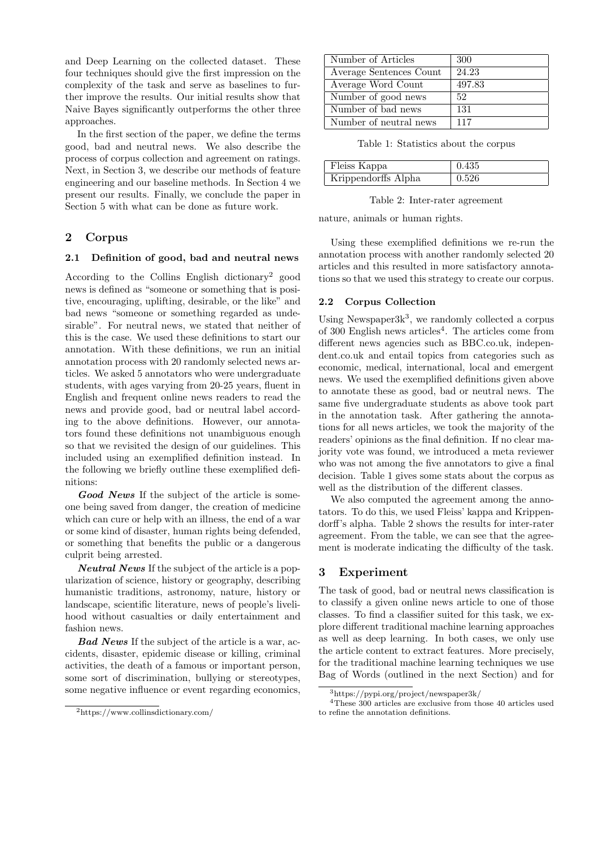and Deep Learning on the collected dataset. These four techniques should give the first impression on the complexity of the task and serve as baselines to further improve the results. Our initial results show that Naive Bayes significantly outperforms the other three approaches.

In the first section of the paper, we define the terms good, bad and neutral news. We also describe the process of corpus collection and agreement on ratings. Next, in Section 3, we describe our methods of feature engineering and our baseline methods. In Section 4 we present our results. Finally, we conclude the paper in Section 5 with what can be done as future work.

## 2 Corpus

#### 2.1 Definition of good, bad and neutral news

According to the Collins English dictionary<sup>2</sup> good news is defined as "someone or something that is positive, encouraging, uplifting, desirable, or the like" and bad news "someone or something regarded as undesirable". For neutral news, we stated that neither of this is the case. We used these definitions to start our annotation. With these definitions, we run an initial annotation process with 20 randomly selected news articles. We asked 5 annotators who were undergraduate students, with ages varying from 20-25 years, fluent in English and frequent online news readers to read the news and provide good, bad or neutral label according to the above definitions. However, our annotators found these definitions not unambiguous enough so that we revisited the design of our guidelines. This included using an exemplified definition instead. In the following we briefly outline these exemplified definitions:

Good News If the subject of the article is someone being saved from danger, the creation of medicine which can cure or help with an illness, the end of a war or some kind of disaster, human rights being defended, or something that benefits the public or a dangerous culprit being arrested.

Neutral News If the subject of the article is a popularization of science, history or geography, describing humanistic traditions, astronomy, nature, history or landscape, scientific literature, news of people's livelihood without casualties or daily entertainment and fashion news.

**Bad News** If the subject of the article is a war, accidents, disaster, epidemic disease or killing, criminal activities, the death of a famous or important person, some sort of discrimination, bullying or stereotypes, some negative influence or event regarding economics,

| Number of Articles      | 300    |
|-------------------------|--------|
| Average Sentences Count | 24.23  |
| Average Word Count      | 497.83 |
| Number of good news     | 52     |
| Number of bad news      | 131    |
| Number of neutral news  | 117    |

Table 1: Statistics about the corpus

| Fleiss Kappa        | 0.435 |
|---------------------|-------|
| Krippendorffs Alpha | 0.526 |

Table 2: Inter-rater agreement

nature, animals or human rights.

Using these exemplified definitions we re-run the annotation process with another randomly selected 20 articles and this resulted in more satisfactory annotations so that we used this strategy to create our corpus.

#### 2.2 Corpus Collection

Using Newspaper $3k^3$ , we randomly collected a corpus of 300 English news articles<sup>4</sup>. The articles come from different news agencies such as BBC.co.uk, independent.co.uk and entail topics from categories such as economic, medical, international, local and emergent news. We used the exemplified definitions given above to annotate these as good, bad or neutral news. The same five undergraduate students as above took part in the annotation task. After gathering the annotations for all news articles, we took the majority of the readers' opinions as the final definition. If no clear majority vote was found, we introduced a meta reviewer who was not among the five annotators to give a final decision. Table 1 gives some stats about the corpus as well as the distribution of the different classes.

We also computed the agreement among the annotators. To do this, we used Fleiss' kappa and Krippendorff's alpha. Table 2 shows the results for inter-rater agreement. From the table, we can see that the agreement is moderate indicating the difficulty of the task.

## 3 Experiment

The task of good, bad or neutral news classification is to classify a given online news article to one of those classes. To find a classifier suited for this task, we explore different traditional machine learning approaches as well as deep learning. In both cases, we only use the article content to extract features. More precisely, for the traditional machine learning techniques we use Bag of Words (outlined in the next Section) and for

<sup>2</sup>https://www.collinsdictionary.com/

 $^3$ https://pypi.org/project/newspaper3k/

<sup>4</sup>These 300 articles are exclusive from those 40 articles used to refine the annotation definitions.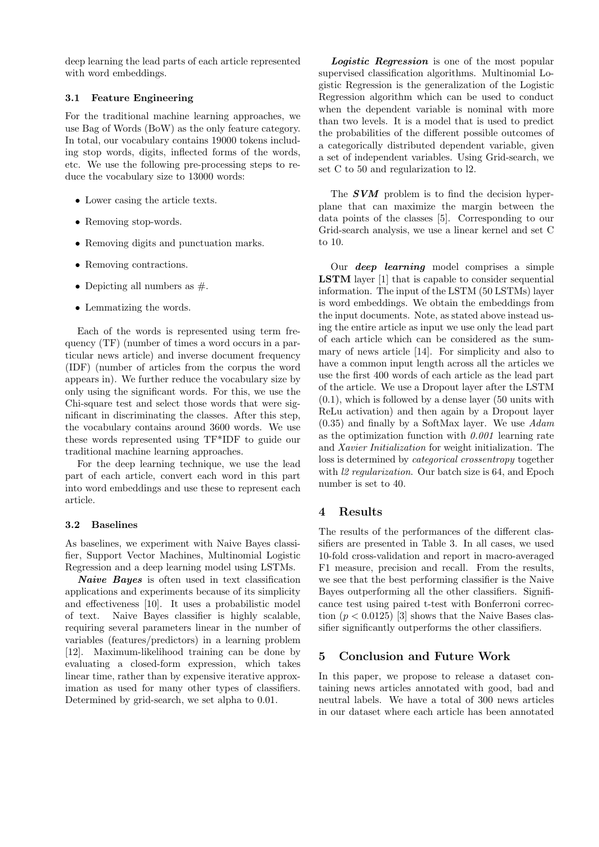deep learning the lead parts of each article represented with word embeddings.

#### 3.1 Feature Engineering

For the traditional machine learning approaches, we use Bag of Words (BoW) as the only feature category. In total, our vocabulary contains 19000 tokens including stop words, digits, inflected forms of the words, etc. We use the following pre-processing steps to reduce the vocabulary size to 13000 words:

- Lower casing the article texts.
- Removing stop-words.
- Removing digits and punctuation marks.
- Removing contractions.
- Depicting all numbers as  $#$ .
- Lemmatizing the words.

Each of the words is represented using term frequency (TF) (number of times a word occurs in a particular news article) and inverse document frequency (IDF) (number of articles from the corpus the word appears in). We further reduce the vocabulary size by only using the significant words. For this, we use the Chi-square test and select those words that were significant in discriminating the classes. After this step, the vocabulary contains around 3600 words. We use these words represented using TF\*IDF to guide our traditional machine learning approaches.

For the deep learning technique, we use the lead part of each article, convert each word in this part into word embeddings and use these to represent each article.

## 3.2 Baselines

As baselines, we experiment with Naive Bayes classifier, Support Vector Machines, Multinomial Logistic Regression and a deep learning model using LSTMs.

Naive Bayes is often used in text classification applications and experiments because of its simplicity and effectiveness [10]. It uses a probabilistic model of text. Naive Bayes classifier is highly scalable, requiring several parameters linear in the number of variables (features/predictors) in a learning problem [12]. Maximum-likelihood training can be done by evaluating a closed-form expression, which takes linear time, rather than by expensive iterative approximation as used for many other types of classifiers. Determined by grid-search, we set alpha to 0.01.

Logistic Regression is one of the most popular supervised classification algorithms. Multinomial Logistic Regression is the generalization of the Logistic Regression algorithm which can be used to conduct when the dependent variable is nominal with more than two levels. It is a model that is used to predict the probabilities of the different possible outcomes of a categorically distributed dependent variable, given a set of independent variables. Using Grid-search, we set C to 50 and regularization to l2.

The **SVM** problem is to find the decision hyperplane that can maximize the margin between the data points of the classes [5]. Corresponding to our Grid-search analysis, we use a linear kernel and set C to 10.

Our *deep* learning model comprises a simple LSTM layer [1] that is capable to consider sequential information. The input of the LSTM (50 LSTMs) layer is word embeddings. We obtain the embeddings from the input documents. Note, as stated above instead using the entire article as input we use only the lead part of each article which can be considered as the summary of news article [14]. For simplicity and also to have a common input length across all the articles we use the first 400 words of each article as the lead part of the article. We use a Dropout layer after the LSTM (0.1), which is followed by a dense layer (50 units with ReLu activation) and then again by a Dropout layer  $(0.35)$  and finally by a SoftMax layer. We use  $Adam$ as the optimization function with  $0.001$  learning rate and Xavier Initialization for weight initialization. The loss is determined by categorical crossentropy together with *l2 regularization*. Our batch size is 64, and Epoch number is set to 40.

## 4 Results

The results of the performances of the different classifiers are presented in Table 3. In all cases, we used 10-fold cross-validation and report in macro-averaged F1 measure, precision and recall. From the results, we see that the best performing classifier is the Naive Bayes outperforming all the other classifiers. Significance test using paired t-test with Bonferroni correction  $(p < 0.0125)$  [3] shows that the Naive Bases classifier significantly outperforms the other classifiers.

## 5 Conclusion and Future Work

In this paper, we propose to release a dataset containing news articles annotated with good, bad and neutral labels. We have a total of 300 news articles in our dataset where each article has been annotated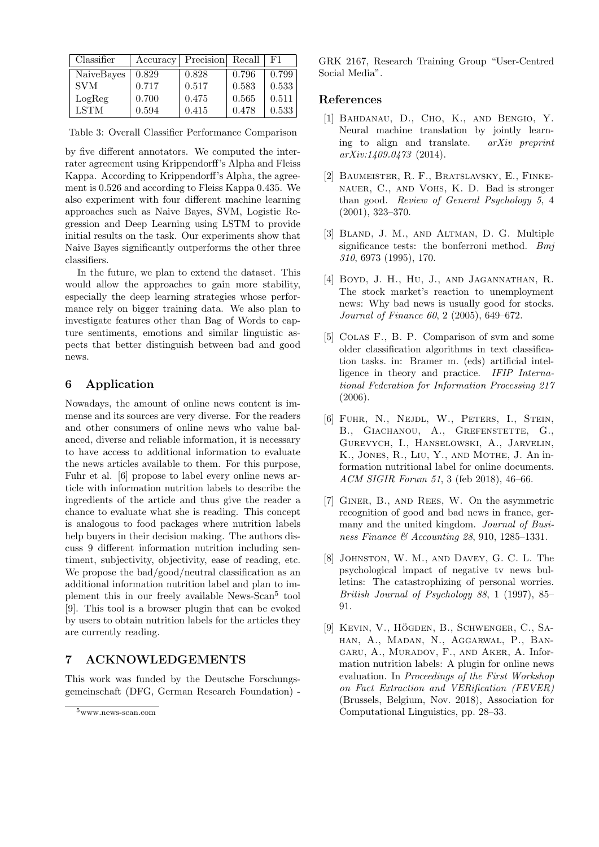| Classifier  | Accuracy | Precision Recall |       | F1.   |
|-------------|----------|------------------|-------|-------|
| NaiveBayes  | 0.829    | 0.828            | 0.796 | 0.799 |
| <b>SVM</b>  | 0.717    | 0.517            | 0.583 | 0.533 |
| LogReg      | 0.700    | 0.475            | 0.565 | 0.511 |
| <b>LSTM</b> | 0.594    | 0.415            | 0.478 | 0.533 |

Table 3: Overall Classifier Performance Comparison

by five different annotators. We computed the interrater agreement using Krippendorff's Alpha and Fleiss Kappa. According to Krippendorff's Alpha, the agreement is 0.526 and according to Fleiss Kappa 0.435. We also experiment with four different machine learning approaches such as Naive Bayes, SVM, Logistic Regression and Deep Learning using LSTM to provide initial results on the task. Our experiments show that Naive Bayes significantly outperforms the other three classifiers.

In the future, we plan to extend the dataset. This would allow the approaches to gain more stability, especially the deep learning strategies whose performance rely on bigger training data. We also plan to investigate features other than Bag of Words to capture sentiments, emotions and similar linguistic aspects that better distinguish between bad and good news.

# 6 Application

Nowadays, the amount of online news content is immense and its sources are very diverse. For the readers and other consumers of online news who value balanced, diverse and reliable information, it is necessary to have access to additional information to evaluate the news articles available to them. For this purpose, Fuhr et al. [6] propose to label every online news article with information nutrition labels to describe the ingredients of the article and thus give the reader a chance to evaluate what she is reading. This concept is analogous to food packages where nutrition labels help buyers in their decision making. The authors discuss 9 different information nutrition including sentiment, subjectivity, objectivity, ease of reading, etc. We propose the bad/good/neutral classification as an additional information nutrition label and plan to implement this in our freely available News-Scan<sup>5</sup> tool [9]. This tool is a browser plugin that can be evoked by users to obtain nutrition labels for the articles they are currently reading.

# 7 ACKNOWLEDGEMENTS

This work was funded by the Deutsche Forschungsgemeinschaft (DFG, German Research Foundation) -

GRK 2167, Research Training Group "User-Centred Social Media".

## References

- [1] Bahdanau, D., Cho, K., and Bengio, Y. Neural machine translation by jointly learning to align and translate. arXiv preprint arXiv:1409.0473 (2014).
- [2] Baumeister, R. F., Bratslavsky, E., Finkenauer, C., and Vohs, K. D. Bad is stronger than good. Review of General Psychology 5, 4 (2001), 323–370.
- [3] Bland, J. M., and Altman, D. G. Multiple significance tests: the bonferroni method. Bmj 310, 6973 (1995), 170.
- [4] Boyd, J. H., Hu, J., and Jagannathan, R. The stock market's reaction to unemployment news: Why bad news is usually good for stocks. Journal of Finance 60, 2 (2005), 649–672.
- [5] Colas F., B. P. Comparison of svm and some older classification algorithms in text classification tasks. in: Bramer m. (eds) artificial intelligence in theory and practice. IFIP International Federation for Information Processing 217 (2006).
- [6] Fuhr, N., Nejdl, W., Peters, I., Stein, B., GIACHANOU, A., GREFENSTETTE, G., Gurevych, I., Hanselowski, A., Jarvelin, K., Jones, R., Liu, Y., and Mothe, J. An information nutritional label for online documents. ACM SIGIR Forum 51, 3 (feb 2018), 46–66.
- [7] Giner, B., and Rees, W. On the asymmetric recognition of good and bad news in france, germany and the united kingdom. Journal of Business Finance & Accounting 28, 910, 1285–1331.
- [8] Johnston, W. M., and Davey, G. C. L. The psychological impact of negative tv news bulletins: The catastrophizing of personal worries. British Journal of Psychology 88, 1 (1997), 85– 91.
- [9] KEVIN, V., HÖGDEN, B., SCHWENGER, C., SAhan, A., Madan, N., Aggarwal, P., Bangaru, A., Muradov, F., and Aker, A. Information nutrition labels: A plugin for online news evaluation. In Proceedings of the First Workshop on Fact Extraction and VERification (FEVER) (Brussels, Belgium, Nov. 2018), Association for Computational Linguistics, pp. 28–33.

 $5<sub>www</sub>$  news-scan.com